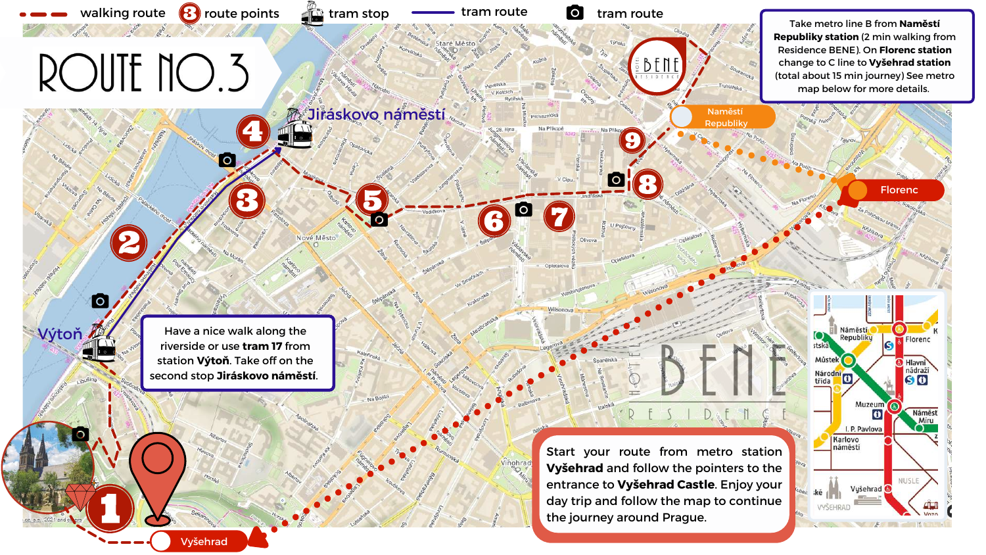**Republiky station** (2 min walking from Residence BENE). On **Florenc station** (total about 15 min journey) See metro